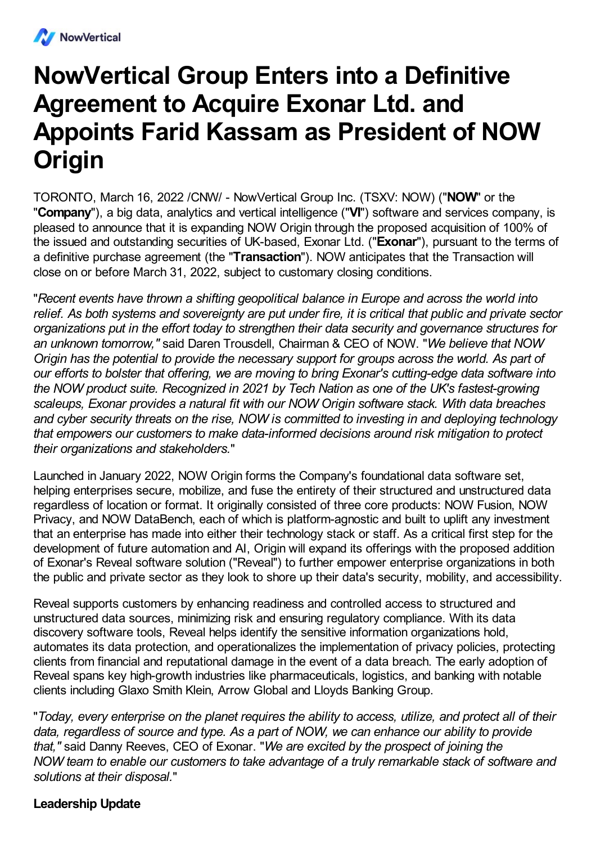

# **NowVertical Group Enters into a Definitive Agreement to Acquire Exonar Ltd. and Appoints Farid Kassam as President of NOW Origin**

TORONTO, March 16, 2022 /CNW/ - NowVertical Group Inc. (TSXV: NOW) ("**NOW**" or the "**Company**"), a big data, analytics and vertical intelligence ("**VI**") software and services company, is pleased to announce that it is expanding NOW Origin through the proposed acquisition of 100% of the issued and outstanding securities of UK-based, Exonar Ltd. ("**Exonar**"), pursuant to the terms of a definitive purchase agreement (the "**Transaction**"). NOW anticipates that the Transaction will close on or before March 31, 2022, subject to customary closing conditions.

"*Recent events have thrown a shifting geopolitical balance in Europe and across the world into* relief. As both systems and sovereignty are put under fire, it is critical that public and private sector *organizations put in the effort today to strengthen their data security and governance structures for an unknown tomorrow,"* said Daren Trousdell, Chairman & CEO of NOW. "*We believe that NOW Origin has the potential to provide the necessary support for groups across the world. As part of our efforts to bolster that offering, we are moving to bring Exonar's cutting-edge data software into the NOW product suite. Recognized in 2021 by Tech Nation as one of the UK's fastest-growing scaleups, Exonar provides a natural fit with our NOW Origin software stack. With data breaches and cyber security threats on the rise, NOW is committed to investing in and deploying technology that empowers our customers to make data-informed decisions around risk mitigation to protect their organizations and stakeholders.*"

Launched in January 2022, NOW Origin forms the Company's foundational data software set, helping enterprises secure, mobilize, and fuse the entirety of their structured and unstructured data regardless of location or format. It originally consisted of three core products: NOW Fusion, NOW Privacy, and NOW DataBench, each of which is platform-agnostic and built to uplift any investment that an enterprise has made into either their technology stack or staff. As a critical first step for the development of future automation and AI, Origin will expand its offerings with the proposed addition of Exonar's Reveal software solution ("Reveal") to further empower enterprise organizations in both the public and private sector as they look to shore up their data's security, mobility, and accessibility.

Reveal supports customers by enhancing readiness and controlled access to structured and unstructured data sources, minimizing risk and ensuring regulatory compliance. With its data discovery software tools, Reveal helps identify the sensitive information organizations hold, automates its data protection, and operationalizes the implementation of privacy policies, protecting clients from financial and reputational damage in the event of a data breach. The early adoption of Reveal spans key high-growth industries like pharmaceuticals, logistics, and banking with notable clients including Glaxo Smith Klein, Arrow Global and Lloyds Banking Group.

"*Today, every enterprise on the planet requires the ability to access, utilize, and protect all of their data, regardless of source and type. As a part of NOW, we can enhance our ability to provide that,"* said Danny Reeves, CEO of Exonar. "*We are excited by the prospect of joining the NOW team to enable our customers to take advantage of a truly remarkable stack of software and solutions at their disposal.*"

# **Leadership Update**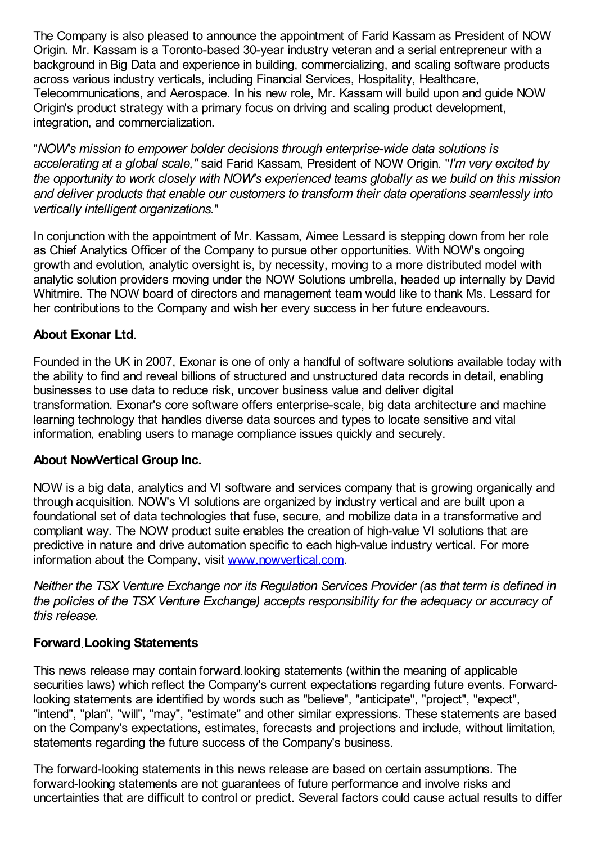The Company is also pleased to announce the appointment of Farid Kassam as President of NOW Origin. Mr. Kassam is a Toronto-based 30-year industry veteran and a serial entrepreneur with a background in Big Data and experience in building, commercializing, and scaling software products across various industry verticals, including Financial Services, Hospitality, Healthcare, Telecommunications, and Aerospace. In his new role, Mr. Kassam will build upon and guide NOW Origin's product strategy with a primary focus on driving and scaling product development, integration, and commercialization.

"*NOW's mission to empower bolder decisions through enterprise-wide data solutions is accelerating at a global scale,"* said Farid Kassam, President of NOW Origin. "*I'm very excited by the opportunity to work closely with NOW's experienced teams globally as we build on this mission and deliver products that enable our customers to transform their data operations seamlessly into vertically intelligent organizations.*"

In conjunction with the appointment of Mr. Kassam, Aimee Lessard is stepping down from her role as Chief Analytics Officer of the Company to pursue other opportunities. With NOW's ongoing growth and evolution, analytic oversight is, by necessity, moving to a more distributed model with analytic solution providers moving under the NOW Solutions umbrella, headed up internally by David Whitmire. The NOW board of directors and management team would like to thank Ms. Lessard for her contributions to the Company and wish her every success in her future endeavours.

# **About Exonar Ltd**.

Founded in the UK in 2007, Exonar is one of only a handful of software solutions available today with the ability to find and reveal billions of structured and unstructured data records in detail, enabling businesses to use data to reduce risk, uncover business value and deliver digital transformation. Exonar's core software offers enterprise-scale, big data architecture and machine learning technology that handles diverse data sources and types to locate sensitive and vital information, enabling users to manage compliance issues quickly and securely.

# **About NowVertical Group Inc.**

NOW is a big data, analytics and VI software and services company that is growing organically and through acquisition. NOW's VI solutions are organized by industry vertical and are built upon a foundational set of data technologies that fuse, secure, and mobilize data in a transformative and compliant way. The NOW product suite enables the creation of high-value VI solutions that are predictive in nature and drive automation specific to each high-value industry vertical. For more information about the Company, visit [www.nowvertical.com](http://www.nowvertical.com/).

*Neither the TSX Venture Exchange nor its Regulation Services Provider (as that term is defined in the policies of the TSX Venture Exchange) accepts responsibility for the adequacy or accuracy of this release.*

# **Forward Looking Statements**

This news release may contain forward looking statements (within the meaning of applicable securities laws) which reflect the Company's current expectations regarding future events. Forwardlooking statements are identified by words such as "believe", "anticipate", "project", "expect", "intend", "plan", "will", "may", "estimate" and other similar expressions. These statements are based on the Company's expectations, estimates, forecasts and projections and include, without limitation, statements regarding the future success of the Company's business.

The forward-looking statements in this news release are based on certain assumptions. The forward-looking statements are not guarantees of future performance and involve risks and uncertainties that are difficult to control or predict. Several factors could cause actual results to differ